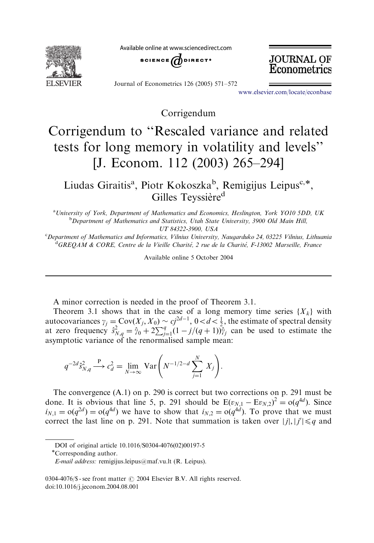

Available online at www.sciencedirect.com



**JOURNAL OF** Econometrics

Journal of Econometrics 126 (2005) 571–572

www.elsevier.com/locate/econbase

Corrigendum

## Corrigendum to ''Rescaled variance and related tests for long memory in volatility and levels'' [J. Econom. 112 (2003) 265–294]

Liudas Giraitis<sup>a</sup>, Piotr Kokoszka<sup>b</sup>, Remigijus Leipus<sup>c,\*</sup>, Gilles Teyssière<sup>d</sup>

<sup>a</sup> University of York, Department of Mathematics and Economics, Heslington, York YO10 5DD, UK <sup>b</sup>Department of Mathematics and Statistics, Utah State University, 3900 Old Main Hill, UT 84322-3900, USA

c Department of Mathematics and Informatics, Vilnius University, Naugarduko 24, 03225 Vilnius, Lithuania <sup>d</sup>GREQAM & CORE, Centre de la Vieille Charité, 2 rue de la Charité, F-13002 Marseille, France

Available online 5 October 2004

A minor correction is needed in the proof of Theorem 3.1.

Theorem 3.1 shows that in the case of a long memory time series  $\{X_k\}$  with autocovariances  $\gamma_j = \text{Cov}(X_j, X_0) \sim cj^{2d-1}$ ,  $0 < d < \frac{1}{2}$ , the estimate of spectral density at zero frequency  $\hat{s}_{N,q}^2 = \hat{y}_0 + 2\sum_{j=1}^q (1 - j/(q+1))\hat{y}_j$  can be used to estimate the asymptotic variance of the renormalised sample mean:

$$
q^{-2d} \hat{s}_{N,q}^2 \stackrel{\text{P}}{\longrightarrow} c_d^2 = \lim_{N \to \infty} \text{Var}\bigg(N^{-1/2-d} \sum_{j=1}^N X_j\bigg).
$$

The convergence (A.1) on p. 290 is correct but two corrections on p. 291 must be done. It is obvious that line 5, p. 291 should be  $E(v_{N,1} - Ev_{N,2})^2 = o(q^{4d})$ . Since  $i_{N,1} = o(q^{2d}) = o(q^{4d})$  we have to show that  $i_{N,2} = o(q^{4d})$ . To prove that we must correct the last line on p. 291. Note that summation is taken over  $|j|, |j'| \leq q$  and

DOI of original article 10.1016/S0304-4076(02)00197-5

Corresponding author.

E-mail address: remigijus.leipus@maf.vu.lt (R. Leipus).

<sup>0304-4076/\$ -</sup> see front matter  $\odot$  2004 Elsevier B.V. All rights reserved. doi:10.1016/j.jeconom.2004.08.001